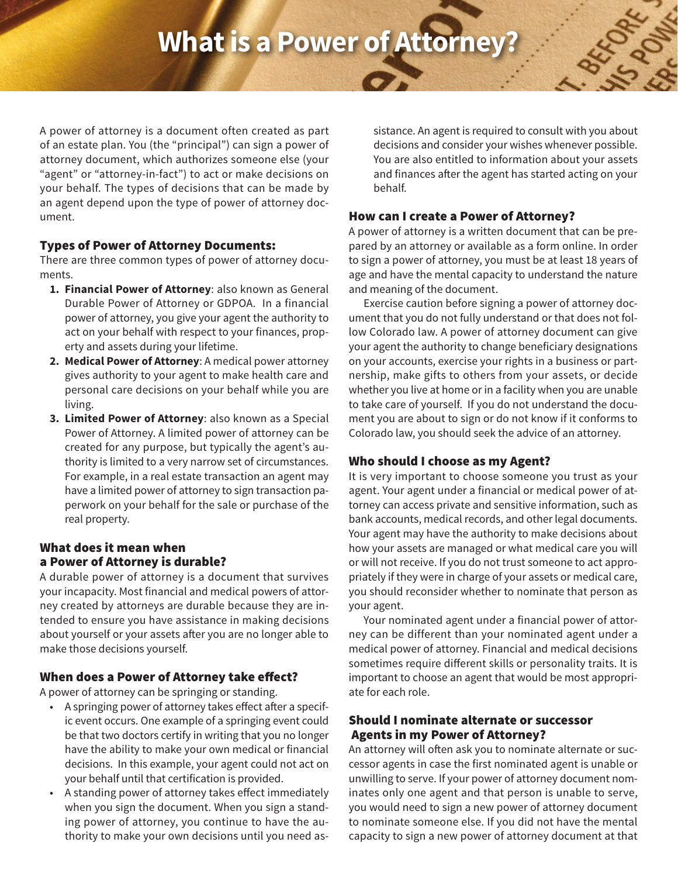# **What is a Power of Attorne**

A power of attorney is a document often created as part of an estate plan. You (the "principal") can sign a power of attorney document, which authorizes someone else (your "agent" or "attorney-in-fact") to act or make decisions on your behalf. The types of decisions that can be made by an agent depend upon the type of power of attorney document.

#### Types of Power of Attorney Documents:

There are three common types of power of attorney documents.

- **1. Financial Power of Attorney**: also known as General Durable Power of Attorney or GDPOA. In a financial power of attorney, you give your agent the authority to act on your behalf with respect to your finances, property and assets during your lifetime.
- **2. Medical Power of Attorney**: A medical power attorney gives authority to your agent to make health care and personal care decisions on your behalf while you are living.
- **3. Limited Power of Attorney**: also known as a Special Power of Attorney. A limited power of attorney can be created for any purpose, but typically the agent's authority is limited to a very narrow set of circumstances. For example, in a real estate transaction an agent may have a limited power of attorney to sign transaction paperwork on your behalf for the sale or purchase of the real property.

## What does it mean when a Power of Attorney is durable?

A durable power of attorney is a document that survives your incapacity. Most financial and medical powers of attorney created by attorneys are durable because they are intended to ensure you have assistance in making decisions about yourself or your assets after you are no longer able to make those decisions yourself.

# When does a Power of Attorney take effect?

A power of attorney can be springing or standing.

- A springing power of attorney takes effect after a specific event occurs. One example of a springing event could be that two doctors certify in writing that you no longer have the ability to make your own medical or financial decisions. In this example, your agent could not act on your behalf until that certification is provided.
- A standing power of attorney takes effect immediately when you sign the document. When you sign a standing power of attorney, you continue to have the authority to make your own decisions until you need as-

sistance. An agent is required to consult with you about decisions and consider your wishes whenever possible. You are also entitled to information about your assets and finances after the agent has started acting on your behalf.

#### How can I create a Power of Attorney?

A power of attorney is a written document that can be prepared by an attorney or available as a form online. In order to sign a power of attorney, you must be at least 18 years of age and have the mental capacity to understand the nature and meaning of the document.

Exercise caution before signing a power of attorney document that you do not fully understand or that does not follow Colorado law. A power of attorney document can give your agent the authority to change beneficiary designations on your accounts, exercise your rights in a business or partnership, make gifts to others from your assets, or decide whether you live at home or in a facility when you are unable to take care of yourself. If you do not understand the document you are about to sign or do not know if it conforms to Colorado law, you should seek the advice of an attorney.

# Who should I choose as my Agent?

It is very important to choose someone you trust as your agent. Your agent under a financial or medical power of attorney can access private and sensitive information, such as bank accounts, medical records, and other legal documents. Your agent may have the authority to make decisions about how your assets are managed or what medical care you will or will not receive. If you do not trust someone to act appropriately if they were in charge of your assets or medical care, you should reconsider whether to nominate that person as your agent.

Your nominated agent under a financial power of attorney can be different than your nominated agent under a medical power of attorney. Financial and medical decisions sometimes require different skills or personality traits. It is important to choose an agent that would be most appropriate for each role.

## Should I nominate alternate or successor Agents in my Power of Attorney?

An attorney will often ask you to nominate alternate or successor agents in case the first nominated agent is unable or unwilling to serve. If your power of attorney document nominates only one agent and that person is unable to serve, you would need to sign a new power of attorney document to nominate someone else. If you did not have the mental capacity to sign a new power of attorney document at that